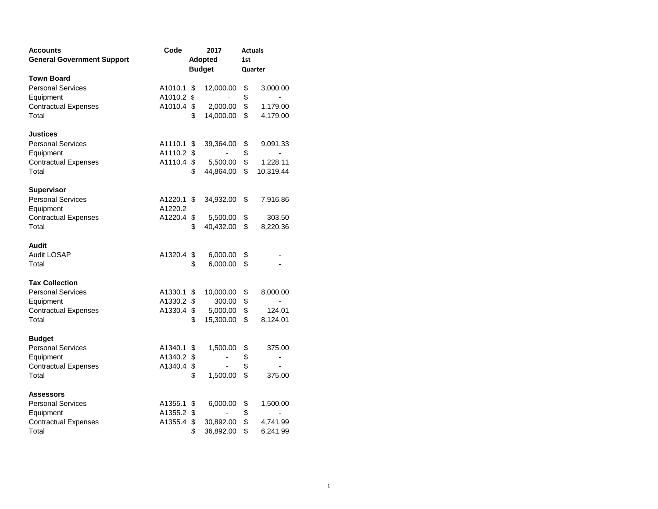| Adopted<br>1st<br><b>Budget</b><br>Quarter<br>A1010.1 \$<br>12,000.00<br>\$<br>3,000.00<br>\$<br>Equipment<br>A1010.2 \$<br>A1010.4 \$<br>$\frac{1}{2}$<br>2,000.00<br>1,179.00<br>\$<br>14,000.00<br>\$<br>4,179.00<br><b>Personal Services</b><br>A1110.1 \$<br>39,364.00<br>9,091.33<br>\$<br>Equipment<br>\$<br>A1110.2 \$<br>٠<br>\$<br>\$5,500.00<br>A1110.4<br>1,228.11<br>\$<br>\$<br>44,864.00<br>10,319.44<br>A1220.1 \$<br>34,932.00<br>\$<br>7,916.86<br>Equipment<br>A1220.2<br>A1220.4 \$<br>\$<br><b>Contractual Expenses</b><br>5,500.00<br>303.50<br>\$<br>40,432.00<br>\$<br>8,220.36<br>Audit LOSAP<br>A1320.4<br>\$<br>6,000.00<br>\$<br>\$<br>\$<br>6,000.00<br>A1330.1 \$<br>10,000.00<br>\$<br>8,000.00<br>Equipment<br>A1330.2 \$<br>300.00<br>\$<br>A1330.4 \$<br>\$<br><b>Contractual Expenses</b><br>5,000.00<br>124.01<br>\$<br>\$<br>15,300.00<br>8,124.01<br><b>Personal Services</b><br>A1340.1 \$<br>1,500.00<br>\$<br>375.00<br>Equipment<br>\$<br>A1340.2 \$<br>$\overline{\phantom{0}}$<br>$\qquad \qquad \blacksquare$<br>\$<br><b>Contractual Expenses</b><br>A1340.4<br>\$<br>\$<br>\$<br>1,500.00<br>375.00<br>A1355.1<br>\$<br>6,000.00<br>1,500.00<br>\$<br>\$<br>Equipment<br>A1355.2<br>\$<br>\$<br>4,741.99<br><b>Contractual Expenses</b><br>A1355.4<br>\$<br>30,892.00<br>\$<br>36,892.00<br>\$<br>6,241.99 | <b>Accounts</b>                   | Code | 2017 | <b>Actuals</b> |  |  |
|-----------------------------------------------------------------------------------------------------------------------------------------------------------------------------------------------------------------------------------------------------------------------------------------------------------------------------------------------------------------------------------------------------------------------------------------------------------------------------------------------------------------------------------------------------------------------------------------------------------------------------------------------------------------------------------------------------------------------------------------------------------------------------------------------------------------------------------------------------------------------------------------------------------------------------------------------------------------------------------------------------------------------------------------------------------------------------------------------------------------------------------------------------------------------------------------------------------------------------------------------------------------------------------------------------------------------------------------------------------|-----------------------------------|------|------|----------------|--|--|
|                                                                                                                                                                                                                                                                                                                                                                                                                                                                                                                                                                                                                                                                                                                                                                                                                                                                                                                                                                                                                                                                                                                                                                                                                                                                                                                                                           | <b>General Government Support</b> |      |      |                |  |  |
|                                                                                                                                                                                                                                                                                                                                                                                                                                                                                                                                                                                                                                                                                                                                                                                                                                                                                                                                                                                                                                                                                                                                                                                                                                                                                                                                                           |                                   |      |      |                |  |  |
|                                                                                                                                                                                                                                                                                                                                                                                                                                                                                                                                                                                                                                                                                                                                                                                                                                                                                                                                                                                                                                                                                                                                                                                                                                                                                                                                                           | Town Board                        |      |      |                |  |  |
|                                                                                                                                                                                                                                                                                                                                                                                                                                                                                                                                                                                                                                                                                                                                                                                                                                                                                                                                                                                                                                                                                                                                                                                                                                                                                                                                                           | <b>Personal Services</b>          |      |      |                |  |  |
|                                                                                                                                                                                                                                                                                                                                                                                                                                                                                                                                                                                                                                                                                                                                                                                                                                                                                                                                                                                                                                                                                                                                                                                                                                                                                                                                                           |                                   |      |      |                |  |  |
|                                                                                                                                                                                                                                                                                                                                                                                                                                                                                                                                                                                                                                                                                                                                                                                                                                                                                                                                                                                                                                                                                                                                                                                                                                                                                                                                                           | <b>Contractual Expenses</b>       |      |      |                |  |  |
|                                                                                                                                                                                                                                                                                                                                                                                                                                                                                                                                                                                                                                                                                                                                                                                                                                                                                                                                                                                                                                                                                                                                                                                                                                                                                                                                                           | Total                             |      |      |                |  |  |
|                                                                                                                                                                                                                                                                                                                                                                                                                                                                                                                                                                                                                                                                                                                                                                                                                                                                                                                                                                                                                                                                                                                                                                                                                                                                                                                                                           | <b>Justices</b>                   |      |      |                |  |  |
|                                                                                                                                                                                                                                                                                                                                                                                                                                                                                                                                                                                                                                                                                                                                                                                                                                                                                                                                                                                                                                                                                                                                                                                                                                                                                                                                                           |                                   |      |      |                |  |  |
|                                                                                                                                                                                                                                                                                                                                                                                                                                                                                                                                                                                                                                                                                                                                                                                                                                                                                                                                                                                                                                                                                                                                                                                                                                                                                                                                                           |                                   |      |      |                |  |  |
|                                                                                                                                                                                                                                                                                                                                                                                                                                                                                                                                                                                                                                                                                                                                                                                                                                                                                                                                                                                                                                                                                                                                                                                                                                                                                                                                                           | <b>Contractual Expenses</b>       |      |      |                |  |  |
|                                                                                                                                                                                                                                                                                                                                                                                                                                                                                                                                                                                                                                                                                                                                                                                                                                                                                                                                                                                                                                                                                                                                                                                                                                                                                                                                                           | Total                             |      |      |                |  |  |
|                                                                                                                                                                                                                                                                                                                                                                                                                                                                                                                                                                                                                                                                                                                                                                                                                                                                                                                                                                                                                                                                                                                                                                                                                                                                                                                                                           | <b>Supervisor</b>                 |      |      |                |  |  |
|                                                                                                                                                                                                                                                                                                                                                                                                                                                                                                                                                                                                                                                                                                                                                                                                                                                                                                                                                                                                                                                                                                                                                                                                                                                                                                                                                           | <b>Personal Services</b>          |      |      |                |  |  |
|                                                                                                                                                                                                                                                                                                                                                                                                                                                                                                                                                                                                                                                                                                                                                                                                                                                                                                                                                                                                                                                                                                                                                                                                                                                                                                                                                           |                                   |      |      |                |  |  |
|                                                                                                                                                                                                                                                                                                                                                                                                                                                                                                                                                                                                                                                                                                                                                                                                                                                                                                                                                                                                                                                                                                                                                                                                                                                                                                                                                           |                                   |      |      |                |  |  |
|                                                                                                                                                                                                                                                                                                                                                                                                                                                                                                                                                                                                                                                                                                                                                                                                                                                                                                                                                                                                                                                                                                                                                                                                                                                                                                                                                           | Total                             |      |      |                |  |  |
|                                                                                                                                                                                                                                                                                                                                                                                                                                                                                                                                                                                                                                                                                                                                                                                                                                                                                                                                                                                                                                                                                                                                                                                                                                                                                                                                                           | Audit                             |      |      |                |  |  |
|                                                                                                                                                                                                                                                                                                                                                                                                                                                                                                                                                                                                                                                                                                                                                                                                                                                                                                                                                                                                                                                                                                                                                                                                                                                                                                                                                           |                                   |      |      |                |  |  |
|                                                                                                                                                                                                                                                                                                                                                                                                                                                                                                                                                                                                                                                                                                                                                                                                                                                                                                                                                                                                                                                                                                                                                                                                                                                                                                                                                           | Total                             |      |      |                |  |  |
|                                                                                                                                                                                                                                                                                                                                                                                                                                                                                                                                                                                                                                                                                                                                                                                                                                                                                                                                                                                                                                                                                                                                                                                                                                                                                                                                                           | <b>Tax Collection</b>             |      |      |                |  |  |
|                                                                                                                                                                                                                                                                                                                                                                                                                                                                                                                                                                                                                                                                                                                                                                                                                                                                                                                                                                                                                                                                                                                                                                                                                                                                                                                                                           | <b>Personal Services</b>          |      |      |                |  |  |
|                                                                                                                                                                                                                                                                                                                                                                                                                                                                                                                                                                                                                                                                                                                                                                                                                                                                                                                                                                                                                                                                                                                                                                                                                                                                                                                                                           |                                   |      |      |                |  |  |
|                                                                                                                                                                                                                                                                                                                                                                                                                                                                                                                                                                                                                                                                                                                                                                                                                                                                                                                                                                                                                                                                                                                                                                                                                                                                                                                                                           |                                   |      |      |                |  |  |
|                                                                                                                                                                                                                                                                                                                                                                                                                                                                                                                                                                                                                                                                                                                                                                                                                                                                                                                                                                                                                                                                                                                                                                                                                                                                                                                                                           | Total                             |      |      |                |  |  |
|                                                                                                                                                                                                                                                                                                                                                                                                                                                                                                                                                                                                                                                                                                                                                                                                                                                                                                                                                                                                                                                                                                                                                                                                                                                                                                                                                           | <b>Budget</b>                     |      |      |                |  |  |
|                                                                                                                                                                                                                                                                                                                                                                                                                                                                                                                                                                                                                                                                                                                                                                                                                                                                                                                                                                                                                                                                                                                                                                                                                                                                                                                                                           |                                   |      |      |                |  |  |
|                                                                                                                                                                                                                                                                                                                                                                                                                                                                                                                                                                                                                                                                                                                                                                                                                                                                                                                                                                                                                                                                                                                                                                                                                                                                                                                                                           |                                   |      |      |                |  |  |
|                                                                                                                                                                                                                                                                                                                                                                                                                                                                                                                                                                                                                                                                                                                                                                                                                                                                                                                                                                                                                                                                                                                                                                                                                                                                                                                                                           |                                   |      |      |                |  |  |
|                                                                                                                                                                                                                                                                                                                                                                                                                                                                                                                                                                                                                                                                                                                                                                                                                                                                                                                                                                                                                                                                                                                                                                                                                                                                                                                                                           | Total                             |      |      |                |  |  |
|                                                                                                                                                                                                                                                                                                                                                                                                                                                                                                                                                                                                                                                                                                                                                                                                                                                                                                                                                                                                                                                                                                                                                                                                                                                                                                                                                           | Assessors                         |      |      |                |  |  |
|                                                                                                                                                                                                                                                                                                                                                                                                                                                                                                                                                                                                                                                                                                                                                                                                                                                                                                                                                                                                                                                                                                                                                                                                                                                                                                                                                           | <b>Personal Services</b>          |      |      |                |  |  |
|                                                                                                                                                                                                                                                                                                                                                                                                                                                                                                                                                                                                                                                                                                                                                                                                                                                                                                                                                                                                                                                                                                                                                                                                                                                                                                                                                           |                                   |      |      |                |  |  |
|                                                                                                                                                                                                                                                                                                                                                                                                                                                                                                                                                                                                                                                                                                                                                                                                                                                                                                                                                                                                                                                                                                                                                                                                                                                                                                                                                           |                                   |      |      |                |  |  |
|                                                                                                                                                                                                                                                                                                                                                                                                                                                                                                                                                                                                                                                                                                                                                                                                                                                                                                                                                                                                                                                                                                                                                                                                                                                                                                                                                           | Total                             |      |      |                |  |  |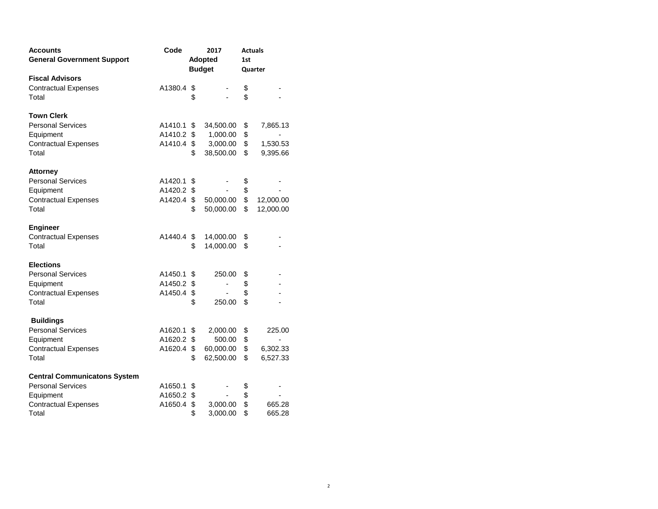| <b>Accounts</b>                     | Code       | 2017                     |                | <b>Actuals</b>           |
|-------------------------------------|------------|--------------------------|----------------|--------------------------|
| <b>General Government Support</b>   |            | Adopted                  | 1st            |                          |
|                                     |            | <b>Budget</b>            |                | Quarter                  |
| <b>Fiscal Advisors</b>              |            |                          |                |                          |
| <b>Contractual Expenses</b>         | A1380.4    | \$                       | \$             |                          |
| Total                               |            | \$                       | \$             |                          |
|                                     |            |                          |                |                          |
| <b>Town Clerk</b>                   |            |                          |                |                          |
| <b>Personal Services</b>            | A1410.1 \$ | 34,500.00                | \$             | 7,865.13                 |
| Equipment                           | A1410.2 \$ | 1,000.00                 | \$             | $\overline{\phantom{a}}$ |
| <b>Contractual Expenses</b>         | A1410.4 \$ | 3,000.00                 | \$             | 1,530.53                 |
| Total                               |            | \$<br>38,500.00          | \$             | 9,395.66                 |
|                                     |            |                          |                |                          |
| <b>Attorney</b>                     |            |                          |                |                          |
| <b>Personal Services</b>            | A1420.1 \$ | $\overline{\phantom{a}}$ | \$             |                          |
| Equipment                           | A1420.2 \$ | $\overline{\phantom{a}}$ | \$             |                          |
| <b>Contractual Expenses</b>         | A1420.4 \$ | 50,000.00                | $\mathfrak{S}$ | 12,000.00                |
| Total                               |            | \$<br>50,000.00          | \$             | 12,000.00                |
|                                     |            |                          |                |                          |
| <b>Engineer</b>                     |            |                          |                |                          |
| <b>Contractual Expenses</b>         | A1440.4 \$ | 14,000.00                | \$             |                          |
| Total                               |            | \$<br>14,000.00          | \$             |                          |
|                                     |            |                          |                |                          |
| <b>Elections</b>                    |            |                          |                |                          |
| <b>Personal Services</b>            | A1450.1 \$ | 250.00                   | \$             |                          |
| Equipment                           | A1450.2 \$ | ä,                       | \$             |                          |
| <b>Contractual Expenses</b>         | A1450.4 \$ | $\overline{\phantom{0}}$ | \$             |                          |
| Total                               |            | \$<br>250.00             | \$             |                          |
|                                     |            |                          |                |                          |
| <b>Buildings</b>                    |            |                          |                |                          |
| <b>Personal Services</b>            | A1620.1 \$ | 2,000.00                 | \$             | 225.00                   |
| Equipment                           | A1620.2 \$ | 500.00                   | \$             |                          |
| <b>Contractual Expenses</b>         | A1620.4    | \$<br>60,000.00          | \$             | 6,302.33                 |
| Total                               |            | \$<br>62,500.00          | \$             | 6,527.33                 |
|                                     |            |                          |                |                          |
| <b>Central Communicatons System</b> |            |                          |                |                          |
| <b>Personal Services</b>            | A1650.1 \$ | -                        | \$             |                          |
| Equipment                           | A1650.2 \$ | $\overline{\phantom{a}}$ | \$             | $\blacksquare$           |
| <b>Contractual Expenses</b>         | A1650.4    | \$<br>3,000.00           | \$             | 665.28                   |
| Total                               |            | \$<br>3,000.00           | \$             | 665.28                   |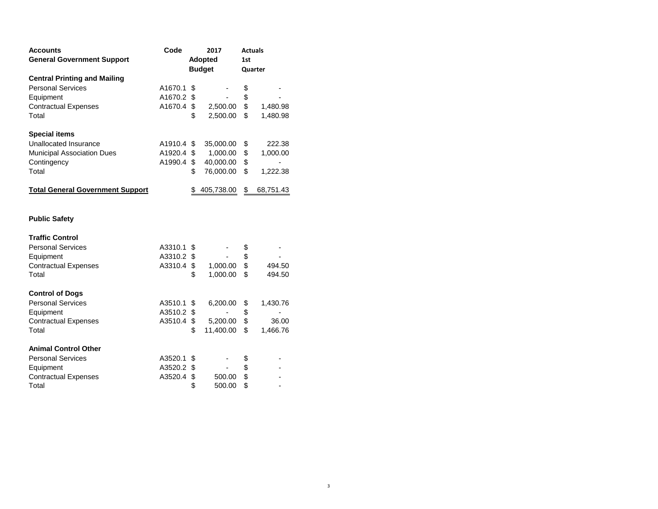| Code | 2017                                                                                                                                          |                                                                                                         | <b>Actuals</b>                                                                                                                                                     |
|------|-----------------------------------------------------------------------------------------------------------------------------------------------|---------------------------------------------------------------------------------------------------------|--------------------------------------------------------------------------------------------------------------------------------------------------------------------|
|      |                                                                                                                                               |                                                                                                         |                                                                                                                                                                    |
|      |                                                                                                                                               |                                                                                                         | Quarter                                                                                                                                                            |
|      |                                                                                                                                               |                                                                                                         |                                                                                                                                                                    |
|      | \$                                                                                                                                            | \$                                                                                                      |                                                                                                                                                                    |
|      |                                                                                                                                               | \$                                                                                                      |                                                                                                                                                                    |
|      |                                                                                                                                               |                                                                                                         | 1,480.98                                                                                                                                                           |
|      | \$                                                                                                                                            | \$                                                                                                      | 1,480.98                                                                                                                                                           |
|      |                                                                                                                                               |                                                                                                         |                                                                                                                                                                    |
|      |                                                                                                                                               | \$                                                                                                      | 222.38                                                                                                                                                             |
|      |                                                                                                                                               | \$                                                                                                      | 1,000.00                                                                                                                                                           |
|      |                                                                                                                                               | \$                                                                                                      | $\overline{\phantom{a}}$                                                                                                                                           |
|      | \$                                                                                                                                            | \$                                                                                                      | 1,222.38                                                                                                                                                           |
|      | \$<br>405,738.00                                                                                                                              | \$                                                                                                      | 68,751.43                                                                                                                                                          |
|      |                                                                                                                                               |                                                                                                         |                                                                                                                                                                    |
|      |                                                                                                                                               |                                                                                                         |                                                                                                                                                                    |
|      |                                                                                                                                               | \$                                                                                                      |                                                                                                                                                                    |
|      | $\overline{\phantom{a}}$                                                                                                                      | \$                                                                                                      |                                                                                                                                                                    |
|      |                                                                                                                                               | \$                                                                                                      | 494.50                                                                                                                                                             |
|      | \$                                                                                                                                            | \$                                                                                                      | 494.50                                                                                                                                                             |
|      |                                                                                                                                               |                                                                                                         |                                                                                                                                                                    |
|      |                                                                                                                                               | \$                                                                                                      | 1,430.76                                                                                                                                                           |
|      | $\sim$                                                                                                                                        | \$                                                                                                      | $\qquad \qquad \blacksquare$                                                                                                                                       |
|      |                                                                                                                                               | \$                                                                                                      | 36.00                                                                                                                                                              |
|      | \$                                                                                                                                            | \$                                                                                                      | 1,466.76                                                                                                                                                           |
|      |                                                                                                                                               |                                                                                                         |                                                                                                                                                                    |
|      |                                                                                                                                               |                                                                                                         |                                                                                                                                                                    |
|      | $\sim$                                                                                                                                        | \$                                                                                                      |                                                                                                                                                                    |
|      | \$<br>500.00                                                                                                                                  | \$                                                                                                      |                                                                                                                                                                    |
|      | \$<br>500.00                                                                                                                                  | \$                                                                                                      |                                                                                                                                                                    |
|      | A1670.1<br>A1670.2 \$<br>A1910.4 \$<br>A3310.1 \$<br>A3310.2 \$<br>A3510.1 \$<br>A3510.2 \$<br>A3510.4<br>A3520.1 \$<br>A3520.2 \$<br>A3520.4 | <b>Adopted</b><br><b>Budget</b><br>A1670.4 \$<br>A1920.4 \$<br>A1990.4 \$<br>A3310.4 \$<br>$\mathbb{S}$ | 1st<br>$\mathfrak s$<br>2,500.00<br>2,500.00<br>35,000.00<br>1,000.00<br>40,000.00<br>76,000.00<br>1,000.00<br>1,000.00<br>6,200.00<br>5,200.00<br>11,400.00<br>\$ |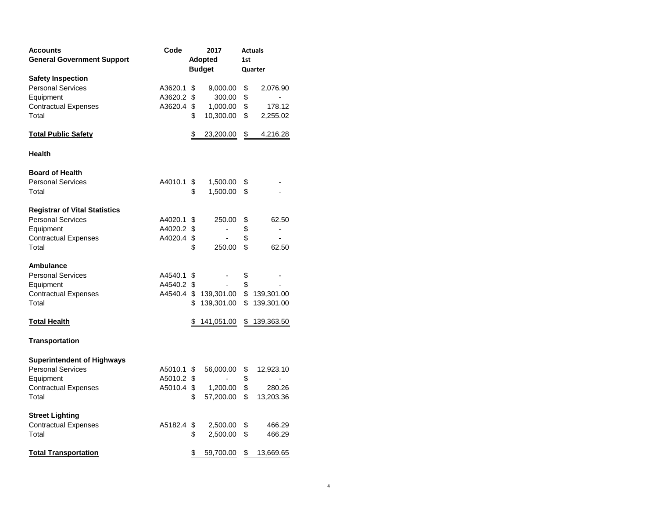| Accounts                             | Code       | 2017           |                       | <b>Actuals</b> |            |  |
|--------------------------------------|------------|----------------|-----------------------|----------------|------------|--|
| <b>General Government Support</b>    |            | <b>Adopted</b> |                       | 1st            |            |  |
|                                      |            |                | <b>Budget</b>         | Quarter        |            |  |
| <b>Safety Inspection</b>             |            |                |                       |                |            |  |
| <b>Personal Services</b>             | A3620.1    | \$             | 9,000.00              | \$             | 2,076.90   |  |
| Equipment                            | A3620.2    | \$             | 300.00                | \$             |            |  |
| <b>Contractual Expenses</b>          | A3620.4    | \$             | 1,000.00              | \$             | 178.12     |  |
| Total                                |            | \$             | 10,300.00             | \$             | 2,255.02   |  |
| <b>Total Public Safety</b>           |            | \$             | 23,200.00             | $\frac{1}{2}$  | 4,216.28   |  |
| Health                               |            |                |                       |                |            |  |
| <b>Board of Health</b>               |            |                |                       |                |            |  |
| <b>Personal Services</b>             | A4010.1    | \$             | 1,500.00              | \$             |            |  |
| Total                                |            | \$             | 1,500.00              | \$             |            |  |
| <b>Registrar of Vital Statistics</b> |            |                |                       |                |            |  |
| <b>Personal Services</b>             | A4020.1    | \$             | 250.00                | \$             | 62.50      |  |
| Equipment                            | A4020.2    | \$             |                       | \$             | -          |  |
| <b>Contractual Expenses</b>          | A4020.4 \$ |                | $\overline{a}$        | \$             | ä,         |  |
| Total                                |            | \$             | 250.00                | \$             | 62.50      |  |
| <b>Ambulance</b>                     |            |                |                       |                |            |  |
| <b>Personal Services</b>             | A4540.1 \$ |                |                       | \$             |            |  |
| Equipment                            | A4540.2 \$ |                |                       | \$             |            |  |
| <b>Contractual Expenses</b>          |            |                | A4540.4 \$ 139,301.00 | \$             | 139,301.00 |  |
| Total                                |            | \$             | 139,301.00            | \$             | 139,301.00 |  |
| <b>Total Health</b>                  |            | \$             | 141,051.00            | \$             | 139,363.50 |  |
| <b>Transportation</b>                |            |                |                       |                |            |  |
| <b>Superintendent of Highways</b>    |            |                |                       |                |            |  |
| <b>Personal Services</b>             | A5010.1 \$ |                | 56,000.00             | \$             | 12,923.10  |  |
| Equipment                            | A5010.2    | \$             | ÷                     | \$             |            |  |
| <b>Contractual Expenses</b>          | A5010.4    | \$             | 1,200.00              | \$             | 280.26     |  |
| Total                                |            | \$             | 57,200.00             | \$             | 13,203.36  |  |
| <b>Street Lighting</b>               |            |                |                       |                |            |  |
| <b>Contractual Expenses</b>          | A5182.4    | \$             | 2,500.00              | \$             | 466.29     |  |
| Total                                |            | \$             | 2,500.00              | \$             | 466.29     |  |
| <b>Total Transportation</b>          |            | \$             | 59,700.00             | \$             | 13,669.65  |  |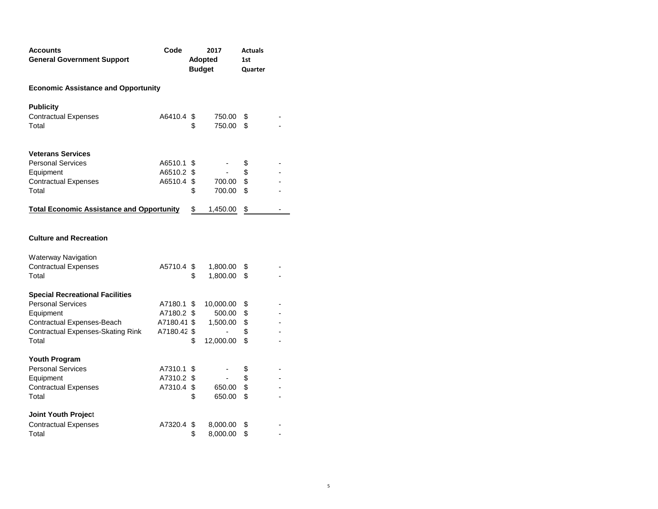| <b>Accounts</b><br><b>General Government Support</b> | Code       |     | 2017<br><b>Adopted</b><br><b>Budget</b> |    |   |
|------------------------------------------------------|------------|-----|-----------------------------------------|----|---|
| <b>Economic Assistance and Opportunity</b>           |            |     |                                         |    |   |
| <b>Publicity</b>                                     |            |     |                                         |    |   |
| <b>Contractual Expenses</b>                          | A6410.4 \$ |     | 750.00                                  | \$ |   |
| Total                                                |            | \$  | 750.00                                  | \$ | ۰ |
| <b>Veterans Services</b>                             |            |     |                                         |    |   |
| <b>Personal Services</b>                             | A6510.1    | \$. |                                         | \$ |   |
| Equipment                                            | A6510.2 \$ |     |                                         | \$ |   |
| <b>Contractual Expenses</b>                          | A6510.4 \$ |     | 700.00                                  | \$ | ÷ |
| Total                                                |            | \$  | 700.00                                  | \$ | ۰ |
| <b>Total Economic Assistance and Opportunity</b>     |            | \$  | 1,450.00                                | S  |   |
|                                                      |            |     |                                         |    |   |

## **Culture and Recreation**

| <b>Waterway Navigation</b>             |             |    |           |    |   |
|----------------------------------------|-------------|----|-----------|----|---|
| <b>Contractual Expenses</b>            | A5710.4 \$  |    | 1,800.00  | S  |   |
| Total                                  |             | \$ | 1,800.00  | \$ |   |
| <b>Special Recreational Facilities</b> |             |    |           |    |   |
| <b>Personal Services</b>               | A7180.1 \$  |    | 10,000.00 | \$ |   |
| Equipment                              | A7180.2 \$  |    | 500.00    | \$ |   |
| Contractual Expenses-Beach             | A7180.41 \$ |    | 1,500.00  | \$ |   |
| Contractual Expenses-Skating Rink      | A7180.42 \$ |    |           | \$ | ۰ |
| Total                                  |             | S  | 12,000.00 | \$ | ۰ |
| Youth Program                          |             |    |           |    |   |
| <b>Personal Services</b>               | A7310.1 \$  |    |           | \$ |   |
| Equipment                              | A7310.2 \$  |    |           | \$ | ۰ |
| <b>Contractual Expenses</b>            | A7310.4     | S  | 650.00    | \$ |   |
| Total                                  |             | S  | 650.00    | \$ |   |
| <b>Joint Youth Project</b>             |             |    |           |    |   |
| <b>Contractual Expenses</b>            | A7320.4     | S. | 8,000.00  | \$ |   |
| Total                                  |             | S  | 8,000.00  | \$ |   |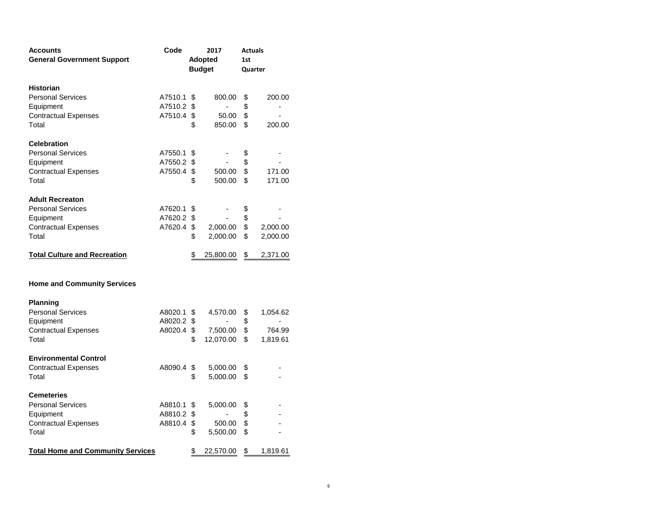| <b>Accounts</b>                          | Code       | 2017                         | <b>Actuals</b> |                          |
|------------------------------------------|------------|------------------------------|----------------|--------------------------|
| <b>General Government Support</b>        |            | Adopted                      | 1st            |                          |
|                                          |            | <b>Budget</b>                |                | Quarter                  |
|                                          |            |                              |                |                          |
| <b>Historian</b>                         |            |                              |                |                          |
| <b>Personal Services</b>                 | A7510.1 \$ | 800.00                       | \$             | 200.00                   |
| Equipment                                | A7510.2 \$ | $\sim$                       | \$             | $\overline{\phantom{a}}$ |
| <b>Contractual Expenses</b>              | A7510.4 \$ | 50.00                        | \$             | $\blacksquare$           |
| Total                                    |            | \$<br>850.00                 | \$             | 200.00                   |
| <b>Celebration</b>                       |            |                              |                |                          |
| <b>Personal Services</b>                 | A7550.1 \$ |                              | \$             |                          |
| Equipment                                | A7550.2 \$ |                              | \$             |                          |
| <b>Contractual Expenses</b>              | A7550.4 \$ | 500.00                       | \$             | 171.00                   |
| Total                                    |            | \$<br>500.00                 | \$             | 171.00                   |
|                                          |            |                              |                |                          |
| <b>Adult Recreaton</b>                   |            |                              |                |                          |
| <b>Personal Services</b>                 | A7620.1 \$ | $\qquad \qquad \blacksquare$ | \$             |                          |
| Equipment                                | A7620.2 \$ | $\overline{a}$               | \$             |                          |
| <b>Contractual Expenses</b>              | A7620.4    | \$<br>2,000.00               | \$             | 2,000.00                 |
| Total                                    |            | \$<br>2,000.00               | \$             | 2,000.00                 |
|                                          |            |                              |                |                          |
| <b>Total Culture and Recreation</b>      |            | \$<br>25,800.00              | \$             | 2,371.00                 |
|                                          |            |                              |                |                          |
|                                          |            |                              |                |                          |
| <b>Home and Community Services</b>       |            |                              |                |                          |
| <b>Planning</b>                          |            |                              |                |                          |
| <b>Personal Services</b>                 | A8020.1 \$ | 4,570.00                     | \$             | 1,054.62                 |
| Equipment                                | A8020.2 \$ | $\overline{\phantom{0}}$     | \$             | $\overline{\phantom{a}}$ |
| <b>Contractual Expenses</b>              | A8020.4    | \$<br>7,500.00               | \$             | 764.99                   |
| Total                                    |            | \$<br>12,070.00              | \$             | 1,819.61                 |
|                                          |            |                              |                |                          |
| <b>Environmental Control</b>             |            |                              |                |                          |
| <b>Contractual Expenses</b>              | A8090.4    | \$<br>5,000.00               | \$             |                          |
| Total                                    |            | \$<br>5,000.00               | \$             |                          |
|                                          |            |                              |                |                          |
| <b>Cemeteries</b>                        |            |                              |                |                          |
| <b>Personal Services</b>                 | A8810.1 \$ | 5,000.00                     | \$             |                          |
| Equipment                                | A8810.2 \$ | ۰.                           | \$             |                          |
| <b>Contractual Expenses</b>              | A8810.4    | \$<br>500.00                 | \$             |                          |
| Total                                    |            | \$<br>5,500.00               | \$             |                          |
| <b>Total Home and Community Services</b> |            | \$<br>22,570.00              | $\frac{1}{2}$  | 1,819.61                 |
|                                          |            |                              |                |                          |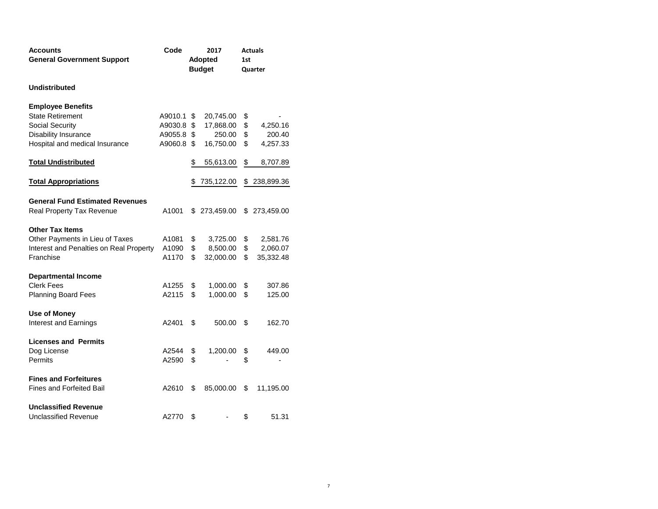| Accounts                                | Code           |          | 2017          |         | <b>Actuals</b> |
|-----------------------------------------|----------------|----------|---------------|---------|----------------|
| <b>General Government Support</b>       |                |          | Adopted       | 1st     |                |
|                                         |                |          | <b>Budget</b> |         | Quarter        |
|                                         |                |          |               |         |                |
| <b>Undistributed</b>                    |                |          |               |         |                |
| <b>Employee Benefits</b>                |                |          |               |         |                |
| <b>State Retirement</b>                 | A9010.1 \$     |          | 20,745.00     | \$      |                |
| Social Security                         | A9030.8 \$     |          | 17,868.00     | \$      | 4,250.16       |
| <b>Disability Insurance</b>             | A9055.8 \$     |          | 250.00        | \$      | 200.40         |
| Hospital and medical Insurance          | A9060.8 \$     |          | 16,750.00     | \$      | 4,257.33       |
| <b>Total Undistributed</b>              |                | \$       | 55,613.00     | \$      | 8,707.89       |
| <b>Total Appropriations</b>             |                | S.       | 735,122.00    | \$      | 238,899.36     |
|                                         |                |          |               |         |                |
| <b>General Fund Estimated Revenues</b>  |                |          |               |         |                |
| Real Property Tax Revenue               | A1001          |          | \$273,459.00  |         | \$ 273,459.00  |
| <b>Other Tax Items</b>                  |                |          |               |         |                |
| Other Payments in Lieu of Taxes         | A1081          | \$       | 3,725.00      | \$      | 2,581.76       |
| Interest and Penalties on Real Property | A1090          | \$       | 8,500.00      | \$      | 2,060.07       |
| Franchise                               | A1170          | \$       | 32,000.00     | \$      | 35,332.48      |
| <b>Departmental Income</b>              |                |          |               |         |                |
| <b>Clerk Fees</b>                       | A1255          | \$       | 1,000.00      | \$      | 307.86         |
| <b>Planning Board Fees</b>              | A2115          | \$       | 1,000.00      | \$      | 125.00         |
| Use of Money                            |                |          |               |         |                |
| Interest and Earnings                   | A2401          | \$       | 500.00        | S       | 162.70         |
| <b>Licenses and Permits</b>             |                |          |               |         |                |
|                                         |                |          |               |         |                |
| Dog License<br>Permits                  | A2544<br>A2590 | \$<br>\$ | 1,200.00      | \$<br>S | 449.00         |
|                                         |                |          |               |         |                |
| <b>Fines and Forfeitures</b>            |                |          |               |         |                |
| <b>Fines and Forfeited Bail</b>         | A2610          | \$       | 85,000.00     | \$      | 11,195.00      |
| <b>Unclassified Revenue</b>             |                |          |               |         |                |
| Unclassified Revenue                    | A2770          | \$       |               | \$      | 51.31          |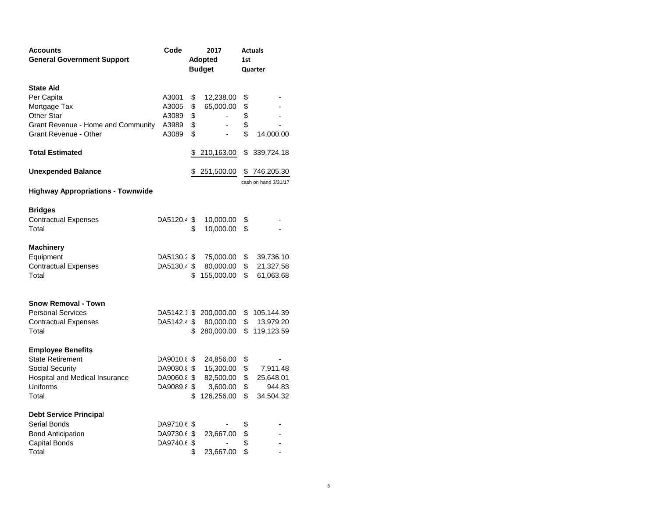| <b>Accounts</b><br><b>General Government Support</b>   | Code        | 2017<br>Adopted<br><b>Budget</b> |                                     | <b>Actuals</b><br>1st<br>Quarter |                           |  |
|--------------------------------------------------------|-------------|----------------------------------|-------------------------------------|----------------------------------|---------------------------|--|
|                                                        |             |                                  |                                     |                                  |                           |  |
| <b>State Aid</b>                                       |             |                                  |                                     |                                  |                           |  |
| Per Capita                                             | A3001       | \$                               | 12,238.00                           | \$                               |                           |  |
| Mortgage Tax                                           | A3005       | \$                               | 65,000.00                           | \$                               |                           |  |
| <b>Other Star</b>                                      | A3089       | \$                               | $\qquad \qquad \blacksquare$        | \$                               |                           |  |
| Grant Revenue - Home and Community                     | A3989       | \$                               | $\overline{\phantom{0}}$            | \$                               |                           |  |
| Grant Revenue - Other                                  | A3089       | \$                               | $\overline{\phantom{0}}$            | \$                               | 14,000.00                 |  |
| <b>Total Estimated</b>                                 |             |                                  | \$210,163.00                        | \$                               | 339,724.18                |  |
| <b>Unexpended Balance</b>                              |             |                                  | \$ 251,500.00                       |                                  | \$746,205.30              |  |
|                                                        |             |                                  |                                     |                                  | cash on hand 3/31/17      |  |
| <b>Highway Appropriations - Townwide</b>               |             |                                  |                                     |                                  |                           |  |
| <b>Bridges</b>                                         |             |                                  |                                     |                                  |                           |  |
| <b>Contractual Expenses</b>                            | DA5120.4 \$ |                                  | 10,000.00                           | \$                               |                           |  |
| Total                                                  |             | \$                               | 10,000.00                           | \$                               |                           |  |
| <b>Machinery</b>                                       |             |                                  |                                     |                                  |                           |  |
| Equipment                                              | DA5130.2 \$ |                                  | 75,000.00                           | \$                               | 39,736.10                 |  |
| <b>Contractual Expenses</b>                            | DA5130.4 \$ |                                  | 80,000.00                           | \$                               | 21,327.58                 |  |
| Total                                                  |             | \$.                              | 155,000.00                          | \$                               | 61,063.68                 |  |
|                                                        |             |                                  |                                     |                                  |                           |  |
| <b>Snow Removal - Town</b><br><b>Personal Services</b> |             |                                  |                                     |                                  |                           |  |
| <b>Contractual Expenses</b>                            | DA5142.4 \$ |                                  | DA5142.1 \$ 200,000.00<br>80,000.00 | \$                               | \$105,144.39<br>13,979.20 |  |
| Total                                                  |             |                                  | \$280,000.00                        | \$                               | 119,123.59                |  |
|                                                        |             |                                  |                                     |                                  |                           |  |
| <b>Employee Benefits</b>                               |             |                                  |                                     |                                  |                           |  |
| <b>State Retirement</b>                                | DA9010.8 \$ |                                  | 24,856.00                           | \$                               |                           |  |
| Social Security                                        | DA9030.8 \$ |                                  | 15,300.00                           | \$                               | 7,911.48                  |  |
| Hospital and Medical Insurance                         | DA9060.8 \$ |                                  | 82,500.00                           | \$                               | 25,648.01                 |  |
| Uniforms                                               | DA9089.8 \$ |                                  | 3,600.00                            | \$                               | 944.83                    |  |
| Total                                                  |             | \$                               | 126,256.00                          | \$                               | 34,504.32                 |  |
| <b>Debt Service Principal</b>                          |             |                                  |                                     |                                  |                           |  |
| Serial Bonds                                           | DA9710.6 \$ |                                  |                                     | \$                               |                           |  |
| <b>Bond Anticipation</b>                               | DA9730.6 \$ |                                  | 23,667.00                           | \$                               |                           |  |
| Capital Bonds                                          | DA9740.6 \$ |                                  |                                     | \$                               |                           |  |
| Total                                                  |             | \$                               | 23,667.00                           | \$                               | ÷                         |  |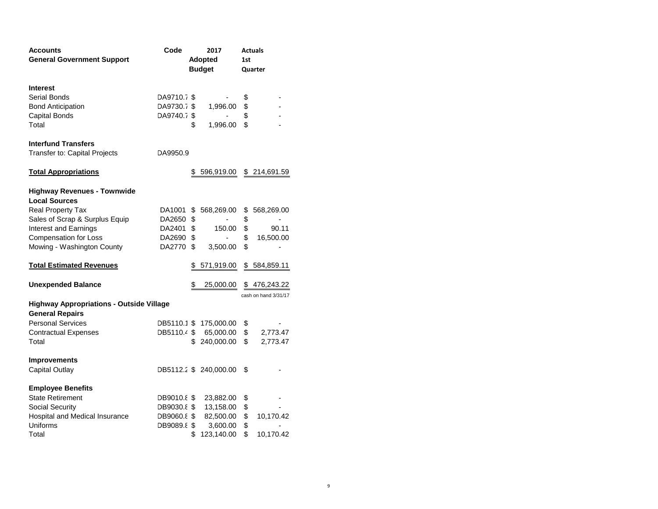| <b>Accounts</b>                                                           | Code        | 2017          |                          |     | <b>Actuals</b>       |
|---------------------------------------------------------------------------|-------------|---------------|--------------------------|-----|----------------------|
| <b>General Government Support</b>                                         |             | Adopted       |                          | 1st |                      |
|                                                                           |             | <b>Budget</b> |                          |     | Quarter              |
| <b>Interest</b>                                                           |             |               |                          |     |                      |
| Serial Bonds                                                              | DA9710.7 \$ |               |                          | \$  |                      |
| <b>Bond Anticipation</b>                                                  | DA9730.7 \$ |               | 1,996.00                 | \$  |                      |
| Capital Bonds                                                             | DA9740.7 \$ |               |                          | \$  |                      |
| Total                                                                     |             | \$            | 1,996.00                 | \$  |                      |
| <b>Interfund Transfers</b>                                                |             |               |                          |     |                      |
| Transfer to: Capital Projects                                             | DA9950.9    |               |                          |     |                      |
| <b>Total Appropriations</b>                                               |             |               | \$596,919.00             |     | \$214,691.59         |
| <b>Highway Revenues - Townwide</b>                                        |             |               |                          |     |                      |
| <b>Local Sources</b>                                                      |             |               |                          |     |                      |
| <b>Real Property Tax</b>                                                  | DA1001      | \$            | 568,269.00               | \$  | 568,269.00           |
| Sales of Scrap & Surplus Equip                                            | DA2650      | \$            |                          | \$  |                      |
| <b>Interest and Earnings</b>                                              | DA2401      | \$            | 150.00                   | \$  | 90.11                |
| <b>Compensation for Loss</b>                                              | DA2690      | \$            | $\overline{\phantom{a}}$ | \$  | 16,500.00            |
| Mowing - Washington County                                                | DA2770      | \$            | 3,500.00                 | \$  |                      |
| <b>Total Estimated Revenues</b>                                           |             | \$            | 571,919.00               |     | \$584,859.11         |
| <b>Unexpended Balance</b>                                                 |             | \$            | 25,000.00                |     | \$476,243.22         |
|                                                                           |             |               |                          |     | cash on hand 3/31/17 |
| <b>Highway Appropriations - Outside Village</b><br><b>General Repairs</b> |             |               |                          |     |                      |
| <b>Personal Services</b>                                                  |             |               | DB5110.1 \$ 175,000.00   | \$  |                      |
| <b>Contractual Expenses</b>                                               |             |               | DB5110.4 \$ 65,000.00    | \$  | 2,773.47             |
| Total                                                                     |             |               | \$240,000.00             | \$  | 2,773.47             |
|                                                                           |             |               |                          |     |                      |
| <b>Improvements</b>                                                       |             |               |                          |     |                      |
| Capital Outlay                                                            |             |               | DB5112.2 \$ 240,000.00   | S   |                      |
| <b>Employee Benefits</b>                                                  |             |               |                          |     |                      |
| <b>State Retirement</b>                                                   | DB9010.8 \$ |               | 23,882.00                | \$  |                      |
| Social Security                                                           | DB9030.8 \$ |               | 13,158.00                | \$  |                      |
| Hospital and Medical Insurance                                            | DB9060.8 \$ |               | 82,500.00                | \$  | 10,170.42            |
| Uniforms                                                                  | DB9089.8 \$ |               | 3,600.00                 | \$  |                      |
| Total                                                                     |             | \$            | 123,140.00               | \$  | 10,170.42            |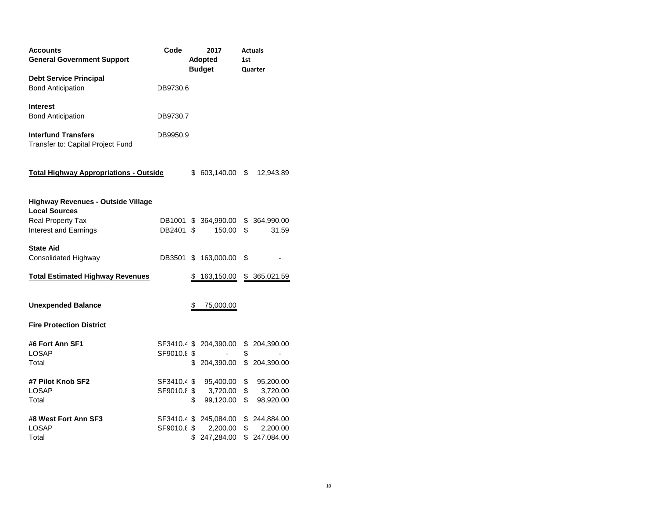| <b>Accounts</b><br><b>General Government Support</b>              | Code                       | 2017<br>Adopted<br><b>Budget</b> |                                                    | <b>Actuals</b><br>1st<br>Quarter |                                          |  |
|-------------------------------------------------------------------|----------------------------|----------------------------------|----------------------------------------------------|----------------------------------|------------------------------------------|--|
| <b>Debt Service Principal</b><br><b>Bond Anticipation</b>         | DB9730.6                   |                                  |                                                    |                                  |                                          |  |
| <b>Interest</b><br><b>Bond Anticipation</b>                       | DB9730.7                   |                                  |                                                    |                                  |                                          |  |
| <b>Interfund Transfers</b><br>Transfer to: Capital Project Fund   | DB9950.9                   |                                  |                                                    |                                  |                                          |  |
| <b>Total Highway Appropriations - Outside</b>                     |                            |                                  | \$ 603,140.00                                      | - \$                             | 12,943.89                                |  |
| <b>Highway Revenues - Outside Village</b><br><b>Local Sources</b> |                            |                                  |                                                    |                                  |                                          |  |
| Real Property Tax<br>Interest and Earnings                        | DB2401                     | \$                               | DB1001 \$ 364,990.00<br>150.00                     | \$                               | \$ 364,990.00<br>31.59                   |  |
| <b>State Aid</b><br><b>Consolidated Highway</b>                   | DB3501                     |                                  | \$163,000.00                                       | \$                               |                                          |  |
| <b>Total Estimated Highway Revenues</b>                           |                            | \$                               | 163,150.00                                         |                                  | \$ 365,021.59                            |  |
| <b>Unexpended Balance</b>                                         |                            | \$                               | 75,000.00                                          |                                  |                                          |  |
| <b>Fire Protection District</b>                                   |                            |                                  |                                                    |                                  |                                          |  |
| #6 Fort Ann SF1<br>LOSAP<br>Total                                 | SF9010.8 \$                | \$                               | SF3410.4 \$ 204,390.00<br>204,390.00               | \$                               | \$ 204,390.00<br>\$ 204,390.00           |  |
| #7 Pilot Knob SF2<br>LOSAP<br>Total                               | SF3410.4 \$<br>SF9010.8 \$ | \$                               | 95,400.00<br>3,720.00<br>99,120.00                 | $\mathfrak s$<br>\$<br>\$        | 95,200.00<br>3,720.00<br>98,920.00       |  |
| #8 West Fort Ann SF3<br>LOSAP<br>Total                            | SF9010.8 \$                |                                  | SF3410.4 \$ 245,084.00<br>2,200.00<br>\$247,284.00 | $\mathfrak s$                    | \$244,884.00<br>2,200.00<br>\$247,084.00 |  |